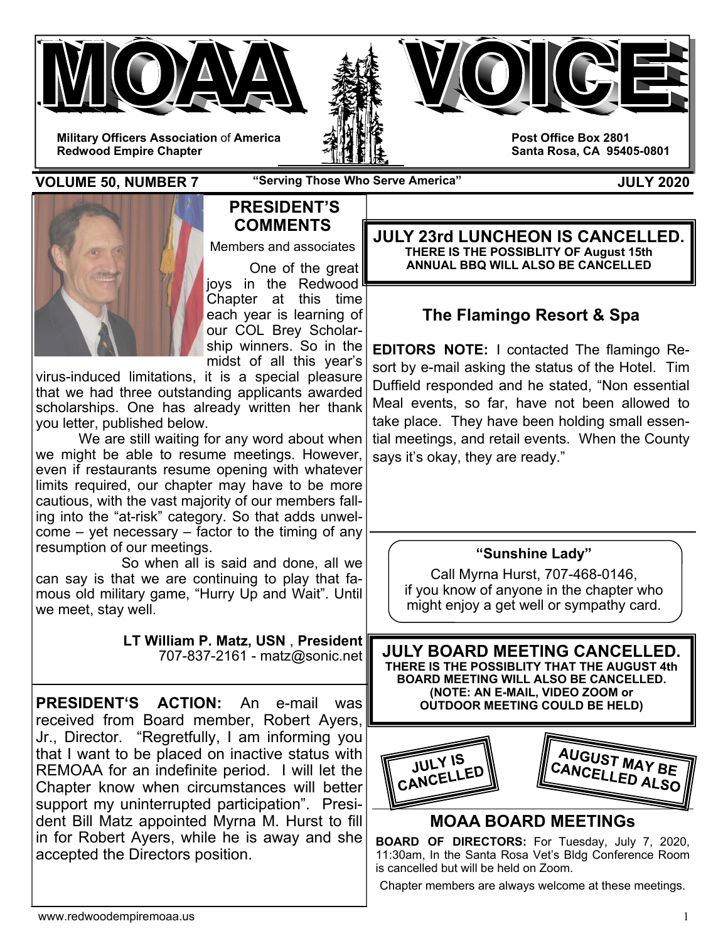





**Post Office Box 2801 Santa Rosa, CA 95405-0801** 

**VOLUME 50, NUMBER 7** "Serving Those Who Serve America" **JULY 2020** 



## **PRESIDENT'S COMMENTS**

Members and associates

 One of the great joys in the Redwood Chapter at this time each year is learning of our COL Brey Scholarship winners. So in the midst of all this year's

virus-induced limitations, it is a special pleasure that we had three outstanding applicants awarded scholarships. One has already written her thank you letter, published below.

 We are still waiting for any word about when we might be able to resume meetings. However, even if restaurants resume opening with whatever limits required, our chapter may have to be more cautious, with the vast majority of our members falling into the "at-risk" category. So that adds unwelcome – yet necessary – factor to the timing of any resumption of our meetings.

 So when all is said and done, all we can say is that we are continuing to play that famous old military game, "Hurry Up and Wait". Until we meet, stay well.

> **LT William P. Matz, USN** , **President** 707-837-2161 - matz@sonic.net

**PRESIDENT'S ACTION:** An e-mail was received from Board member, Robert Ayers, Jr., Director. "Regretfully, I am informing you that I want to be placed on inactive status with REMOAA for an indefinite period. I will let the Chapter know when circumstances will better support my uninterrupted participation". President Bill Matz appointed Myrna M. Hurst to fill in for Robert Ayers, while he is away and she accepted the Directors position.

**JULY 23rd LUNCHEON IS CANCELLED. THERE IS THE POSSIBLITY OF August 15th ANNUAL BBQ WILL ALSO BE CANCELLED** 

# **The Flamingo Resort & Spa**

**EDITORS NOTE:** I contacted The flamingo Resort by e-mail asking the status of the Hotel. Tim Duffield responded and he stated, "Non essential Meal events, so far, have not been allowed to take place. They have been holding small essential meetings, and retail events. When the County says it's okay, they are ready."

### **"Sunshine Lady"**

Call Myrna Hurst, 707-468-0146, if you know of anyone in the chapter who might enjoy a get well or sympathy card.

**JULY BOARD MEETING CANCELLED. THERE IS THE POSSIBLITY THAT THE AUGUST 4th BOARD MEETING WILL ALSO BE CANCELLED. (NOTE: AN E-MAIL, VIDEO ZOOM or OUTDOOR MEETING COULD BE HELD)** 



## **MOAA BOARD MEETINGs**

**BOARD OF DIRECTORS:** For Tuesday, July 7, 2020, 11:30am, In the Santa Rosa Vet's Bldg Conference Room is cancelled but will be held on Zoom.

Chapter members are always welcome at these meetings.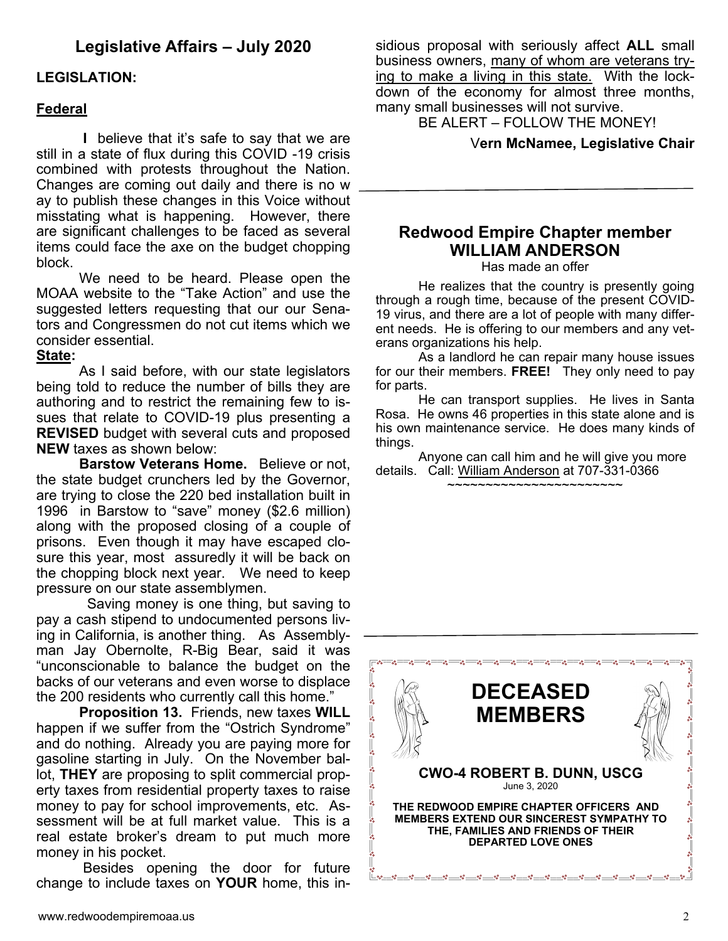## **Legislative Affairs – July 2020**

### **LEGISLATION:**

#### **Federal**

 **I** believe that it's safe to say that we are still in a state of flux during this COVID -19 crisis combined with protests throughout the Nation. Changes are coming out daily and there is no w ay to publish these changes in this Voice without misstating what is happening. However, there are significant challenges to be faced as several items could face the axe on the budget chopping block.

 We need to be heard. Please open the MOAA website to the "Take Action" and use the suggested letters requesting that our our Senators and Congressmen do not cut items which we consider essential.

#### **State:**

As I said before, with our state legislators being told to reduce the number of bills they are authoring and to restrict the remaining few to issues that relate to COVID-19 plus presenting a **REVISED** budget with several cuts and proposed **NEW** taxes as shown below:

**Barstow Veterans Home.** Believe or not, the state budget crunchers led by the Governor, are trying to close the 220 bed installation built in 1996 in Barstow to "save" money (\$2.6 million) along with the proposed closing of a couple of prisons. Even though it may have escaped closure this year, most assuredly it will be back on the chopping block next year. We need to keep pressure on our state assemblymen.

 Saving money is one thing, but saving to pay a cash stipend to undocumented persons living in California, is another thing. As Assemblyman Jay Obernolte, R-Big Bear, said it was "unconscionable to balance the budget on the backs of our veterans and even worse to displace the 200 residents who currently call this home."

**Proposition 13.** Friends, new taxes **WILL**  happen if we suffer from the "Ostrich Syndrome" and do nothing. Already you are paying more for gasoline starting in July. On the November ballot, **THEY** are proposing to split commercial property taxes from residential property taxes to raise money to pay for school improvements, etc. Assessment will be at full market value. This is a real estate broker's dream to put much more money in his pocket.

 Besides opening the door for future change to include taxes on **YOUR** home, this insidious proposal with seriously affect **ALL** small business owners, many of whom are veterans trying to make a living in this state. With the lockdown of the economy for almost three months, many small businesses will not survive.

BE ALERT – FOLLOW THE MONEY!

#### V**ern McNamee, Legislative Chair**

# **Redwood Empire Chapter member WILLIAM ANDERSON**

Has made an offer

 He realizes that the country is presently going through a rough time, because of the present COVID-19 virus, and there are a lot of people with many different needs. He is offering to our members and any veterans organizations his help.

 As a landlord he can repair many house issues for our their members. **FREE!** They only need to pay for parts.

 He can transport supplies. He lives in Santa Rosa. He owns 46 properties in this state alone and is his own maintenance service. He does many kinds of things.

 Anyone can call him and he will give you more details. Call: William Anderson at 707-331-0366 ~~~~~~~~~~~~~~~~~~~~~~~

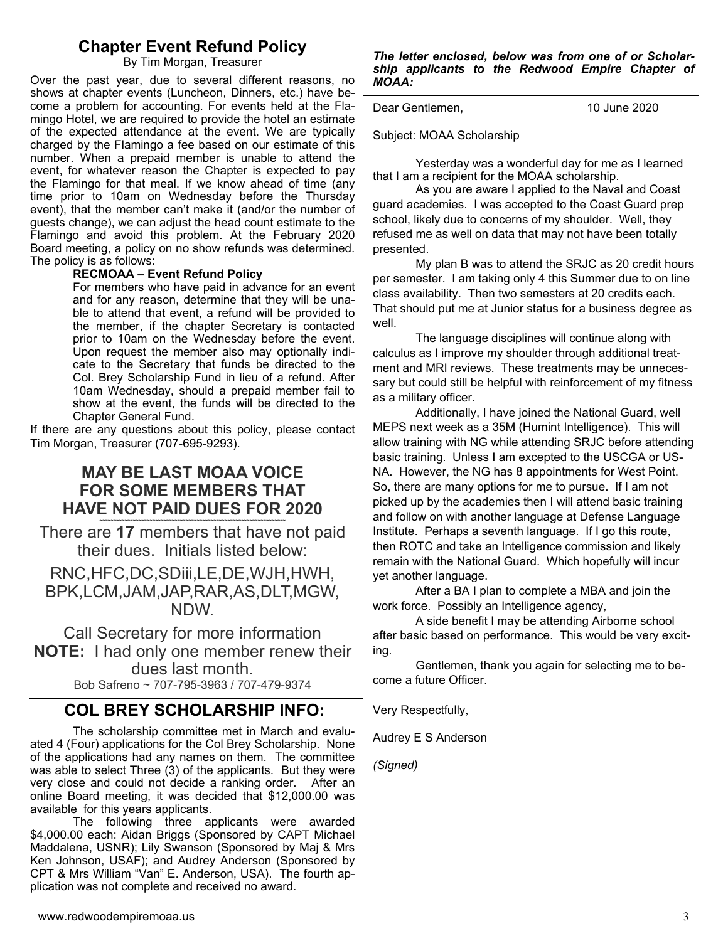## **Chapter Event Refund Policy**

By Tim Morgan, Treasurer

Over the past year, due to several different reasons, no shows at chapter events (Luncheon, Dinners, etc.) have become a problem for accounting. For events held at the Flamingo Hotel, we are required to provide the hotel an estimate of the expected attendance at the event. We are typically charged by the Flamingo a fee based on our estimate of this number. When a prepaid member is unable to attend the event, for whatever reason the Chapter is expected to pay the Flamingo for that meal. If we know ahead of time (any time prior to 10am on Wednesday before the Thursday event), that the member can't make it (and/or the number of guests change), we can adjust the head count estimate to the Flamingo and avoid this problem. At the February 2020 Board meeting, a policy on no show refunds was determined. The policy is as follows:

#### **RECMOAA – Event Refund Policy**

For members who have paid in advance for an event and for any reason, determine that they will be unable to attend that event, a refund will be provided to the member, if the chapter Secretary is contacted prior to 10am on the Wednesday before the event. Upon request the member also may optionally indicate to the Secretary that funds be directed to the Col. Brey Scholarship Fund in lieu of a refund. After 10am Wednesday, should a prepaid member fail to show at the event, the funds will be directed to the Chapter General Fund.

If there are any questions about this policy, please contact Tim Morgan, Treasurer (707-695-9293).

## **MAY BE LAST MOAA VOICE FOR SOME MEMBERS THAT HAVE NOT PAID DUES FOR 2020**

There are **17** members that have not paid their dues. Initials listed below:

RNC,HFC,DC,SDiii,LE,DE,WJH,HWH, BPK,LCM,JAM,JAP,RAR,AS,DLT,MGW, NDW.

Call Secretary for more information **NOTE:** I had only one member renew their dues last month.

Bob Safreno ~ 707-795-3963 / 707-479-9374

### **COL BREY SCHOLARSHIP INFO:**

 The scholarship committee met in March and evaluated 4 (Four) applications for the Col Brey Scholarship. None of the applications had any names on them. The committee was able to select Three (3) of the applicants. But they were very close and could not decide a ranking order. After an online Board meeting, it was decided that \$12,000.00 was available for this years applicants.

 The following three applicants were awarded \$4,000.00 each: Aidan Briggs (Sponsored by CAPT Michael Maddalena, USNR); Lily Swanson (Sponsored by Maj & Mrs Ken Johnson, USAF); and Audrey Anderson (Sponsored by CPT & Mrs William "Van" E. Anderson, USA). The fourth application was not complete and received no award.

*The letter enclosed, below was from one of or Scholarship applicants to the Redwood Empire Chapter of MOAA:* 

Dear Gentlemen, 10 June 2020

Subject: MOAA Scholarship

 Yesterday was a wonderful day for me as I learned that I am a recipient for the MOAA scholarship.

 As you are aware I applied to the Naval and Coast guard academies. I was accepted to the Coast Guard prep school, likely due to concerns of my shoulder. Well, they refused me as well on data that may not have been totally presented.

 My plan B was to attend the SRJC as 20 credit hours per semester. I am taking only 4 this Summer due to on line class availability. Then two semesters at 20 credits each. That should put me at Junior status for a business degree as well.

 The language disciplines will continue along with calculus as I improve my shoulder through additional treatment and MRI reviews. These treatments may be unnecessary but could still be helpful with reinforcement of my fitness as a military officer.

 Additionally, I have joined the National Guard, well MEPS next week as a 35M (Humint Intelligence). This will allow training with NG while attending SRJC before attending basic training. Unless I am excepted to the USCGA or US-NA. However, the NG has 8 appointments for West Point. So, there are many options for me to pursue. If I am not picked up by the academies then I will attend basic training and follow on with another language at Defense Language Institute. Perhaps a seventh language. If I go this route, then ROTC and take an Intelligence commission and likely remain with the National Guard. Which hopefully will incur yet another language.

 After a BA I plan to complete a MBA and join the work force. Possibly an Intelligence agency,

 A side benefit I may be attending Airborne school after basic based on performance. This would be very exciting.

 Gentlemen, thank you again for selecting me to become a future Officer.

Very Respectfully,

Audrey E S Anderson

*(Signed)*